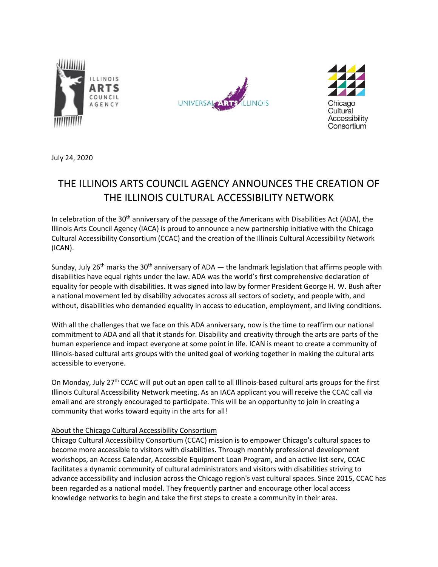





July 24, 2020

# THE ILLINOIS ARTS COUNCIL AGENCY ANNOUNCES THE CREATION OF THE ILLINOIS CULTURAL ACCESSIBILITY NETWORK

In celebration of the 30<sup>th</sup> anniversary of the passage of the Americans with Disabilities Act (ADA), the Illinois Arts Council Agency (IACA) is proud to announce a new partnership initiative with the Chicago Cultural Accessibility Consortium (CCAC) and the creation of the Illinois Cultural Accessibility Network (ICAN).

Sunday, July 26<sup>th</sup> marks the 30<sup>th</sup> anniversary of ADA — the landmark legislation that affirms people with disabilities have equal rights under the law. ADA was the world's first comprehensive declaration of equality for people with disabilities. It was signed into law by former President George H. W. Bush after a national movement led by disability advocates across all sectors of society, and people with, and without, disabilities who demanded equality in access to education, employment, and living conditions.

With all the challenges that we face on this ADA anniversary, now is the time to reaffirm our national commitment to ADA and all that it stands for. Disability and creativity through the arts are parts of the human experience and impact everyone at some point in life. ICAN is meant to create a community of Illinois-based cultural arts groups with the united goal of working together in making the cultural arts accessible to everyone.

On Monday, July 27th CCAC will put out an open call to all Illinois-based cultural arts groups for the first Illinois Cultural Accessibility Network meeting. As an IACA applicant you will receive the CCAC call via email and are strongly encouraged to participate. This will be an opportunity to join in creating a community that works toward equity in the arts for all!

### About the Chicago Cultural Accessibility Consortium

Chicago Cultural Accessibility Consortium (CCAC) mission is to empower Chicago's cultural spaces to become more accessible to visitors with disabilities. Through monthly professional development workshops, an Access Calendar, Accessible Equipment Loan Program, and an active list-serv, CCAC facilitates a dynamic community of cultural administrators and visitors with disabilities striving to advance accessibility and inclusion across the Chicago region's vast cultural spaces. Since 2015, CCAC has been regarded as a national model. They frequently partner and encourage other local access knowledge networks to begin and take the first steps to create a community in their area.